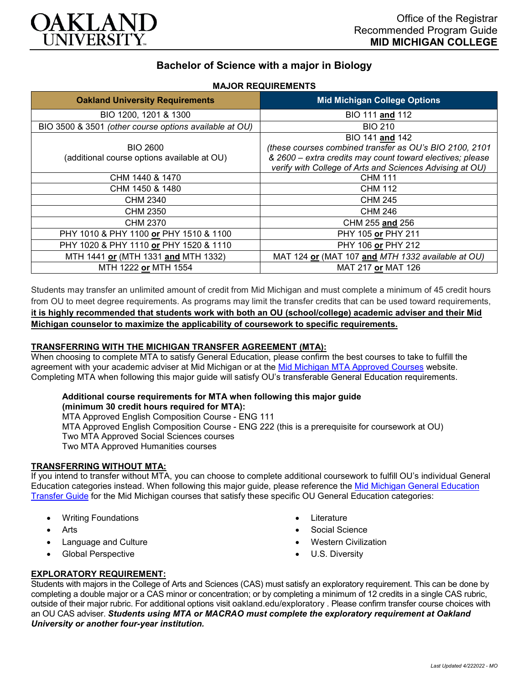

# **Bachelor of Science with a major in Biology**

| <b>Oakland University Requirements</b>                         | <b>Mid Michigan College Options</b>                                                                                                                                                                 |
|----------------------------------------------------------------|-----------------------------------------------------------------------------------------------------------------------------------------------------------------------------------------------------|
| BIO 1200, 1201 & 1300                                          | BIO 111 and 112                                                                                                                                                                                     |
| BIO 3500 & 3501 (other course options available at OU)         | <b>BIO 210</b>                                                                                                                                                                                      |
| <b>BIO 2600</b><br>(additional course options available at OU) | BIO 141 and 142<br>(these courses combined transfer as OU's BIO 2100, 2101<br>& 2600 – extra credits may count toward electives; please<br>verify with College of Arts and Sciences Advising at OU) |
| CHM 1440 & 1470                                                | <b>CHM 111</b>                                                                                                                                                                                      |
| CHM 1450 & 1480                                                | <b>CHM 112</b>                                                                                                                                                                                      |
| CHM 2340                                                       | <b>CHM 245</b>                                                                                                                                                                                      |
| <b>CHM 2350</b>                                                | <b>CHM 246</b>                                                                                                                                                                                      |
| CHM 2370                                                       | CHM 255 and 256                                                                                                                                                                                     |
| PHY 1010 & PHY 1100 or PHY 1510 & 1100                         | PHY 105 or PHY 211                                                                                                                                                                                  |
| PHY 1020 & PHY 1110 or PHY 1520 & 1110                         | PHY 106 or PHY 212                                                                                                                                                                                  |
| MTH 1441 or (MTH 1331 and MTH 1332)                            | MAT 124 or (MAT 107 and MTH 1332 available at OU)                                                                                                                                                   |
| MTH 1222 or MTH 1554                                           | MAT 217 or MAT 126                                                                                                                                                                                  |

**MAJOR REQUIREMENTS**

Students may transfer an unlimited amount of credit from Mid Michigan and must complete a minimum of 45 credit hours from OU to meet degree requirements. As programs may limit the transfer credits that can be used toward requirements, **it is highly recommended that students work with both an OU (school/college) academic adviser and their Mid Michigan counselor to maximize the applicability of coursework to specific requirements.**

# **TRANSFERRING WITH THE MICHIGAN TRANSFER AGREEMENT (MTA):**

When choosing to complete MTA to satisfy General Education, please confirm the best courses to take to fulfill the agreement with your academic adviser at Mid Michigan or at the [Mid Michigan MTA Approved Courses](https://www.midmich.edu/academics/transfer/mta) website. Completing MTA when following this major guide will satisfy OU's transferable General Education requirements.

#### **Additional course requirements for MTA when following this major guide (minimum 30 credit hours required for MTA):**

MTA Approved English Composition Course - ENG 111 MTA Approved English Composition Course - ENG 222 (this is a prerequisite for coursework at OU) Two MTA Approved Social Sciences courses Two MTA Approved Humanities courses

### **TRANSFERRING WITHOUT MTA:**

If you intend to transfer without MTA, you can choose to complete additional coursework to fulfill OU's individual General Education categories instead. When following this major guide, please reference the [Mid Michigan General Education](https://www.oakland.edu/Assets/Oakland/program-guides/mid-michigan-community-college/university-general-education-requirements/Mid%20Michigan%20Gen%20Ed.pdf)  [Transfer Guide](https://www.oakland.edu/Assets/Oakland/program-guides/mid-michigan-community-college/university-general-education-requirements/Mid%20Michigan%20Gen%20Ed.pdf) for the Mid Michigan courses that satisfy these specific OU General Education categories:

- Writing Foundations
- Arts
- Language and Culture
- Global Perspective
- **Literature**
- Social Science
- Western Civilization
- U.S. Diversity

### **EXPLORATORY REQUIREMENT:**

Students with majors in the College of Arts and Sciences (CAS) must satisfy an exploratory requirement. This can be done by completing a double major or a CAS minor or concentration; or by completing a minimum of 12 credits in a single CAS rubric, outside of their major rubric. For additional options visit [oakland.edu/exploratory](http://www.oakland.edu/exploratory) . Please confirm transfer course choices with an OU CAS adviser. *Students using MTA or MACRAO must complete the exploratory requirement at Oakland University or another four-year institution.*